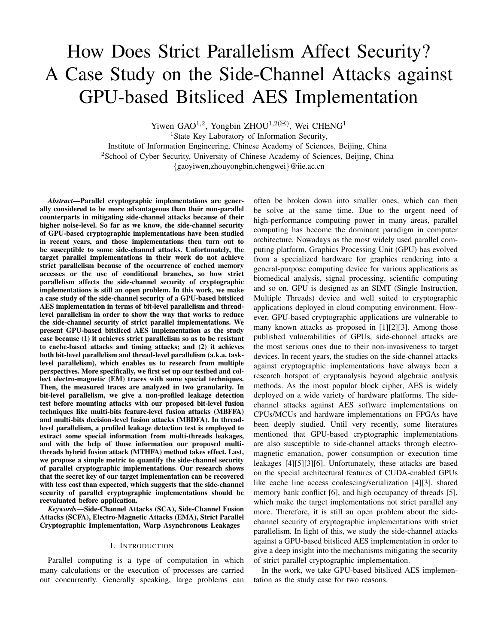# How Does Strict Parallelism Affect Security? A Case Study on the Side-Channel Attacks against GPU-based Bitsliced AES Implementation

Yiwen GAO<sup>1,2</sup>, Yongbin ZHOU<sup>1,2( $\boxtimes$ ), Wei CHENG<sup>1</sup></sup>

<sup>1</sup>State Key Laboratory of Information Security,

Institute of Information Engineering, Chinese Academy of Sciences, Beijing, China <sup>2</sup>School of Cyber Security, University of Chinese Academy of Sciences, Beijing, China

{gaoyiwen,zhouyongbin,chengwei}@iie.ac.cn

*Abstract*—Parallel cryptographic implementations are generally considered to be more advantageous than their non-parallel counterparts in mitigating side-channel attacks because of their higher noise-level. So far as we know, the side-channel security of GPU-based cryptographic implementations have been studied in recent years, and those implementations then turn out to be susceptible to some side-channel attacks. Unfortunately, the target parallel implementations in their work do not achieve strict parallelism because of the occurrence of cached memory accesses or the use of conditional branches, so how strict parallelism affects the side-channel security of cryptographic implementations is still an open problem. In this work, we make a case study of the side-channel security of a GPU-based bitsliced AES implementation in terms of bit-level parallelism and threadlevel parallelism in order to show the way that works to reduce the side-channel security of strict parallel implementations. We present GPU-based bitsliced AES implementation as the study case because (1) it achieves strict parallelism so as to be resistant to cache-based attacks and timing attacks; and (2) it achieves both bit-level parallelism and thread-level parallelism (a.k.a. tasklevel parallelism), which enables us to research from multiple perspectives. More specifically, we first set up our testbed and collect electro-magnetic (EM) traces with some special techniques. Then, the measured traces are analyzed in two granularity. In bit-level parallelism, we give a non-profiled leakage detection test before mounting attacks with our proposed bit-level fusion techniques like multi-bits feature-level fusion attacks (MBFFA) and multi-bits decision-level fusion attacks (MBDFA). In threadlevel parallelism, a profiled leakage detection test is employed to extract some special information from multi-threads leakages, and with the help of those information our proposed multithreads hybrid fusion attack (MTHFA) method takes effect. Last, we propose a simple metric to quantify the side-channel security of parallel cryptographic implementations. Our research shows that the secret key of our target implementation can be recovered with less cost than expected, which suggests that the side-channel security of parallel cryptographic implementations should be reevaluated before application.

*Keywords*—Side-Channel Attacks (SCA), Side-Channel Fusion Attacks (SCFA), Electro-Magnetic Attacks (EMA), Strict Parallel Cryptographic Implementation, Warp Asynchronous Leakages

# I. INTRODUCTION

Parallel computing is a type of computation in which many calculations or the execution of processes are carried out concurrently. Generally speaking, large problems can often be broken down into smaller ones, which can then be solve at the same time. Due to the urgent need of high-performance computing power in many areas, parallel computing has become the dominant paradigm in computer architecture. Nowadays as the most widely used parallel computing platform, Graphics Processing Unit (GPU) has evolved from a specialized hardware for graphics rendering into a general-purpose computing device for various applications as biomedical analysis, signal processing, scientific computing and so on. GPU is designed as an SIMT (Single Instruction, Multiple Threads) device and well suited to cryptographic applications deployed in cloud computing environment. However, GPU-based cryptographic applications are vulnerable to many known attacks as proposed in [1][2][3]. Among those published vulnerabilities of GPUs, side-channel attacks are the most serious ones due to their non-invasiveness to target devices. In recent years, the studies on the side-channel attacks against cryptographic implementations have always been a research hotspot of cryptanalysis beyond algebraic analysis methods. As the most popular block cipher, AES is widely deployed on a wide variety of hardware platforms. The sidechannel attacks against AES software implementations on CPUs/MCUs and hardware implementations on FPGAs have been deeply studied. Until very recently, some literatures mentioned that GPU-based cryptographic implementations are also susceptible to side-channel attacks through electromagnetic emanation, power consumption or execution time leakages [4][5][3][6]. Unfortunately, these attacks are based on the special architectural features of CUDA-enabled GPUs like cache line access coalescing/serialization [4][3], shared memory bank conflict [6], and high occupancy of threads [5], which make the target implementations not strict parallel any more. Therefore, it is still an open problem about the sidechannel security of cryptographic implementations with strict parallelism. In light of this, we study the side-channel attacks against a GPU-based bitsliced AES implementation in order to give a deep insight into the mechanisms mitigating the security of strict parallel cryptographic implementation.

In the work, we take GPU-based bitsliced AES implementation as the study case for two reasons.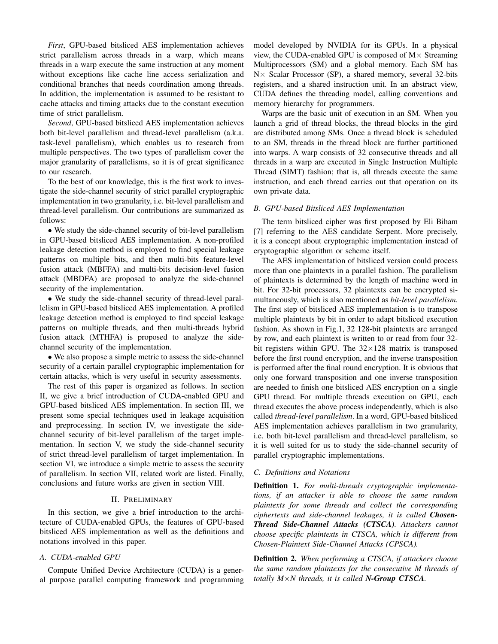*First*, GPU-based bitsliced AES implementation achieves strict parallelism across threads in a warp, which means threads in a warp execute the same instruction at any moment without exceptions like cache line access serialization and conditional branches that needs coordination among threads. In addition, the implementation is assumed to be resistant to cache attacks and timing attacks due to the constant execution time of strict parallelism.

*Second*, GPU-based bitsliced AES implementation achieves both bit-level parallelism and thread-level parallelism (a.k.a. task-level parallelism), which enables us to research from multiple perspectives. The two types of parallelism cover the major granularity of parallelisms, so it is of great significance to our research.

To the best of our knowledge, this is the first work to investigate the side-channel security of strict parallel cryptographic implementation in two granularity, i.e. bit-level parallelism and thread-level parallelism. Our contributions are summarized as follows:

• We study the side-channel security of bit-level parallelism in GPU-based bitsliced AES implementation. A non-profiled leakage detection method is employed to find special leakage patterns on multiple bits, and then multi-bits feature-level fusion attack (MBFFA) and multi-bits decision-level fusion attack (MBDFA) are proposed to analyze the side-channel security of the implementation.

• We study the side-channel security of thread-level parallelism in GPU-based bitsliced AES implementation. A profiled leakage detection method is employed to find special leakage patterns on multiple threads, and then multi-threads hybrid fusion attack (MTHFA) is proposed to analyze the sidechannel security of the implementation.

• We also propose a simple metric to assess the side-channel security of a certain parallel cryptographic implementation for certain attacks, which is very useful in security assessments.

The rest of this paper is organized as follows. In section II, we give a brief introduction of CUDA-enabled GPU and GPU-based bitsliced AES implementation. In section III, we present some special techniques used in leakage acquisition and preprocessing. In section IV, we investigate the sidechannel security of bit-level parallelism of the target implementation. In section V, we study the side-channel security of strict thread-level parallelism of target implementation. In section VI, we introduce a simple metric to assess the security of parallelism. In section VII, related work are listed. Finally, conclusions and future works are given in section VIII.

#### II. PRELIMINARY

In this section, we give a brief introduction to the architecture of CUDA-enabled GPUs, the features of GPU-based bitsliced AES implementation as well as the definitions and notations involved in this paper.

# *A. CUDA-enabled GPU*

Compute Unified Device Architecture (CUDA) is a general purpose parallel computing framework and programming model developed by NVIDIA for its GPUs. In a physical view, the CUDA-enabled GPU is composed of  $M \times$  Streaming Multiprocessors (SM) and a global memory. Each SM has N× Scalar Processor (SP), a shared memory, several 32-bits registers, and a shared instruction unit. In an abstract view, CUDA defines the threading model, calling conventions and memory hierarchy for programmers.

Warps are the basic unit of execution in an SM. When you launch a grid of thread blocks, the thread blocks in the gird are distributed among SMs. Once a thread block is scheduled to an SM, threads in the thread block are further partitioned into warps. A warp consists of 32 consecutive threads and all threads in a warp are executed in Single Instruction Multiple Thread (SIMT) fashion; that is, all threads execute the same instruction, and each thread carries out that operation on its own private data.

#### *B. GPU-based Bitsliced AES Implementation*

The term bitsliced cipher was first proposed by Eli Biham [7] referring to the AES candidate Serpent. More precisely, it is a concept about cryptographic implementation instead of cryptographic algorithm or scheme itself.

The AES implementation of bitsliced version could process more than one plaintexts in a parallel fashion. The parallelism of plaintexts is determined by the length of machine word in bit. For 32-bit processors, 32 plaintexts can be encrypted simultaneously, which is also mentioned as *bit-level parallelism*. The first step of bitsliced AES implementation is to transpose multiple plaintexts by bit in order to adapt bitsliced execution fashion. As shown in Fig.1, 32 128-bit plaintexts are arranged by row, and each plaintext is written to or read from four 32 bit registers within GPU. The  $32\times128$  matrix is transposed before the first round encryption, and the inverse transposition is performed after the final round encryption. It is obvious that only one forward transposition and one inverse transposition are needed to finish one bitsliced AES encryption on a single GPU thread. For multiple threads execution on GPU, each thread executes the above process independently, which is also called *thread-level parallelism*. In a word, GPU-based bitsliced AES implementation achieves parallelism in two granularity, i.e. both bit-level parallelism and thread-level parallelism, so it is well suited for us to study the side-channel security of parallel cryptographic implementations.

#### *C. Definitions and Notations*

Definition 1. *For multi-threads cryptographic implementations, if an attacker is able to choose the same random plaintexts for some threads and collect the corresponding ciphertexts and side-channel leakages, it is called Chosen-Thread Side-Channel Attacks (CTSCA). Attackers cannot choose specific plaintexts in CTSCA, which is different from Chosen-Plaintext Side-Channel Attacks (CPSCA).*

Definition 2. *When performing a CTSCA, if attackers choose the same random plaintexts for the consecutive M threads of totally M*×*N threads, it is called N-Group CTSCA.*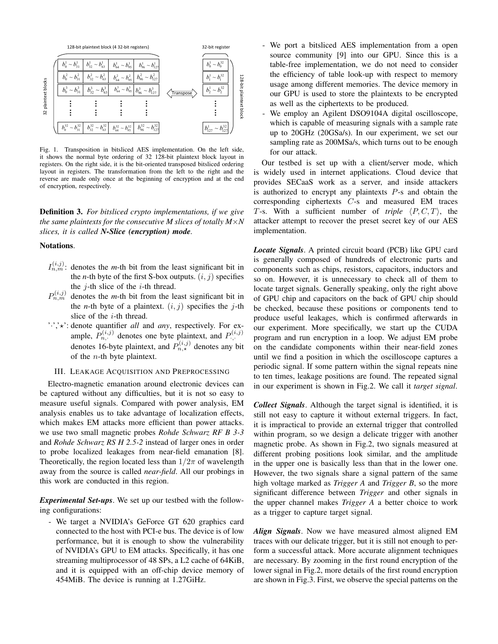

Fig. 1. Transposition in bitsliced AES implementation. On the left side, it shows the normal byte ordering of 32 128-bit plaintext block layout in registers. On the right side, it is the bit-oriented transposed bitsliced ordering layout in registers. The transformation from the left to the right and the reverse are made only once at the beginning of encryption and at the end of encryption, respectively.

Definition 3. *For bitsliced crypto implementations, if we give the same plaintexts for the consecutive M slices of totally*  $M \times N$ *slices, it is called N-Slice (encryption) mode.*

### Notations.

- $I_{n,m}^{(i,j)}$ : denotes the *m*-th bit from the least significant bit in the *n*-th byte of the first S-box outputs.  $(i, j)$  specifies the  $j$ -th slice of the  $i$ -th thread.
- $P_{n,m}^{(i,j)}$  denotes the *m*-th bit from the least significant bit in the *n*-th byte of a plaintext.  $(i, j)$  specifies the j-th slice of the  $i$ -th thread.
- ':','\*': denote quantifier *all* and *any*, respectively. For example,  $P_{n,\cdot}^{(i,j)}$  denotes one byte plaintext, and  $P_{\cdot}^{(i,j)}$ denotes 16-byte plaintext, and  $P_{n,\star}^{(i,j)}$  denotes any bit of the  $n$ -th byte plaintext.

# III. LEAKAGE ACQUISITION AND PREPROCESSING

Electro-magnetic emanation around electronic devices can be captured without any difficulties, but it is not so easy to measure useful signals. Compared with power analysis, EM analysis enables us to take advantage of localization effects, which makes EM attacks more efficient than power attacks. we use two small magnetic probes *Rohde Schwarz RF B 3-3* and *Rohde Schwarz RS H 2.5-2* instead of larger ones in order to probe localized leakages from near-field emanation [8]. Theoretically, the region located less than  $1/2\pi$  of wavelength away from the source is called *near-field*. All our probings in this work are conducted in this region.

*Experimental Set-ups*. We set up our testbed with the following configurations:

- We target a NVIDIA's GeForce GT 620 graphics card connected to the host with PCI-e bus. The device is of low performance, but it is enough to show the vulnerability of NVIDIA's GPU to EM attacks. Specifically, it has one streaming multiprocessor of 48 SPs, a L2 cache of 64KiB, and it is equipped with an off-chip device memory of 454MiB. The device is running at 1.27GiHz.

- We port a bitsliced AES implementation from a open source community [9] into our GPU. Since this is a table-free implementation, we do not need to consider the efficiency of table look-up with respect to memory usage among different memories. The device memory in our GPU is used to store the plaintexts to be encrypted as well as the ciphertexts to be produced.
- We employ an Agilent DSO9104A digital oscilloscope, which is capable of measuring signals with a sample rate up to 20GHz (20GSa/s). In our experiment, we set our sampling rate as 200MSa/s, which turns out to be enough for our attack.

Our testbed is set up with a client/server mode, which is widely used in internet applications. Cloud device that provides SECaaS work as a server, and inside attackers is authorized to encrypt any plaintexts P-s and obtain the corresponding ciphertexts C-s and measured EM traces T-s. With a sufficient number of *triple*  $\langle P, C, T \rangle$ , the attacker attempt to recover the preset secret key of our AES implementation.

*Locate Signals*. A printed circuit board (PCB) like GPU card is generally composed of hundreds of electronic parts and components such as chips, resistors, capacitors, inductors and so on. However, it is unnecessary to check all of them to locate target signals. Generally speaking, only the right above of GPU chip and capacitors on the back of GPU chip should be checked, because these positions or components tend to produce useful leakages, which is confirmed afterwards in our experiment. More specifically, we start up the CUDA program and run encryption in a loop. We adjust EM probe on the candidate components within their near-field zones until we find a position in which the oscilloscope captures a periodic signal. If some pattern within the signal repeats nine to ten times, leakage positions are found. The repeated signal in our experiment is shown in Fig.2. We call it *target signal*.

*Collect Signals*. Although the target signal is identified, it is still not easy to capture it without external triggers. In fact, it is impractical to provide an external trigger that controlled within program, so we design a delicate trigger with another magnetic probe. As shown in Fig.2, two signals measured at different probing positions look similar, and the amplitude in the upper one is basically less than that in the lower one. However, the two signals share a signal pattern of the same high voltage marked as *Trigger A* and *Trigger B*, so the more significant difference between *Trigger* and other signals in the upper channel makes *Trigger A* a better choice to work as a trigger to capture target signal.

*Align Signals*. Now we have measured almost aligned EM traces with our delicate trigger, but it is still not enough to perform a successful attack. More accurate alignment techniques are necessary. By zooming in the first round encryption of the lower signal in Fig.2, more details of the first round encryption are shown in Fig.3. First, we observe the special patterns on the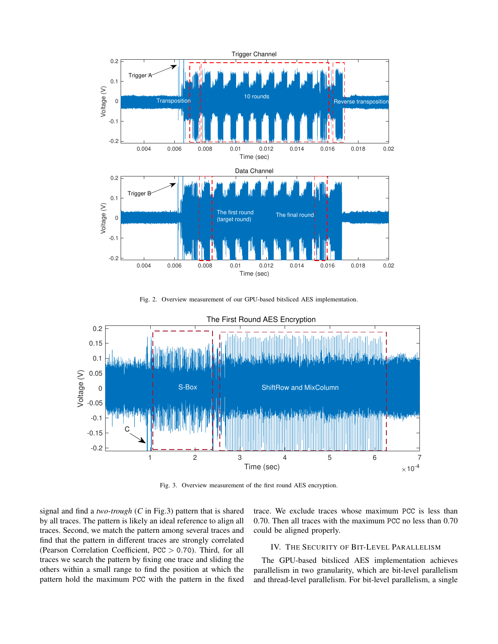

Fig. 2. Overview measurement of our GPU-based bitsliced AES implementation.



Fig. 3. Overview measurement of the first round AES encryption.

signal and find a *two-trough* (*C* in Fig.3) pattern that is shared by all traces. The pattern is likely an ideal reference to align all traces. Second, we match the pattern among several traces and find that the pattern in different traces are strongly correlated (Pearson Correlation Coefficient, PCC > 0.70). Third, for all traces we search the pattern by fixing one trace and sliding the others within a small range to find the position at which the pattern hold the maximum PCC with the pattern in the fixed trace. We exclude traces whose maximum PCC is less than 0.70. Then all traces with the maximum PCC no less than 0.70 could be aligned properly.

#### IV. THE SECURITY OF BIT-LEVEL PARALLELISM

The GPU-based bitsliced AES implementation achieves parallelism in two granularity, which are bit-level parallelism and thread-level parallelism. For bit-level parallelism, a single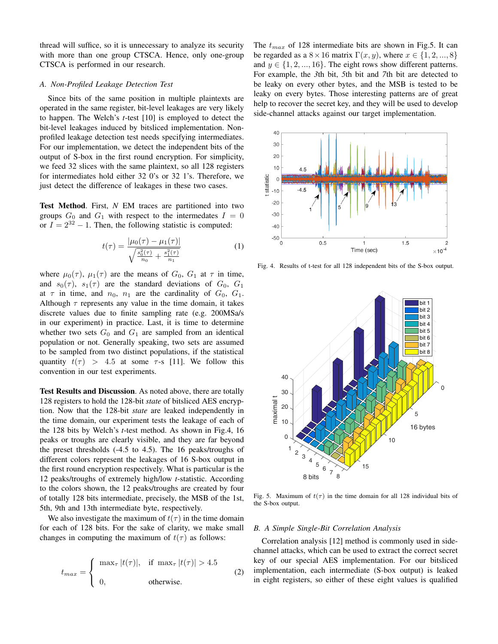thread will suffice, so it is unnecessary to analyze its security with more than one group CTSCA. Hence, only one-group CTSCA is performed in our research.

# *A. Non-Profiled Leakage Detection Test*

Since bits of the same position in multiple plaintexts are operated in the same register, bit-level leakages are very likely to happen. The Welch's *t*-test [10] is employed to detect the bit-level leakages induced by bitsliced implementation. Nonprofiled leakage detection test needs specifying intermediates. For our implementation, we detect the independent bits of the output of S-box in the first round encryption. For simplicity, we feed 32 slices with the same plaintext, so all 128 registers for intermediates hold either 32 0's or 32 1's. Therefore, we just detect the difference of leakages in these two cases.

Test Method. First, *N* EM traces are partitioned into two groups  $G_0$  and  $G_1$  with respect to the intermedates  $I = 0$ or  $I = 2^{32} - 1$ . Then, the following statistic is computed:

$$
t(\tau) = \frac{|\mu_0(\tau) - \mu_1(\tau)|}{\sqrt{\frac{s_0^2(\tau)}{n_0} + \frac{s_1^2(\tau)}{n_1}}}
$$
(1)

where  $\mu_0(\tau)$ ,  $\mu_1(\tau)$  are the means of  $G_0$ ,  $G_1$  at  $\tau$  in time, and  $s_0(\tau)$ ,  $s_1(\tau)$  are the standard deviations of  $G_0$ ,  $G_1$ at  $\tau$  in time, and  $n_0$ ,  $n_1$  are the cardinality of  $G_0$ ,  $G_1$ . Although  $\tau$  represents any value in the time domain, it takes discrete values due to finite sampling rate (e.g. 200MSa/s in our experiment) in practice. Last, it is time to determine whether two sets  $G_0$  and  $G_1$  are sampled from an identical population or not. Generally speaking, two sets are assumed to be sampled from two distinct populations, if the statistical quantity  $t(\tau) > 4.5$  at some  $\tau$ -s [11]. We follow this convention in our test experiments.

Test Results and Discussion. As noted above, there are totally 128 registers to hold the 128-bit *state* of bitsliced AES encryption. Now that the 128-bit *state* are leaked independently in the time domain, our experiment tests the leakage of each of the 128 bits by Welch's *t*-test method. As shown in Fig.4, 16 peaks or troughs are clearly visible, and they are far beyond the preset thresholds (-4.5 to 4.5). The 16 peaks/troughs of different colors represent the leakages of 16 S-box output in the first round encryption respectively. What is particular is the 12 peaks/troughs of extremely high/low *t*-statistic. According to the colors shown, the 12 peaks/troughs are created by four of totally 128 bits intermediate, precisely, the MSB of the 1st, 5th, 9th and 13th intermediate byte, respectively.

We also investigate the maximum of  $t(\tau)$  in the time domain for each of 128 bits. For the sake of clarity, we make small changes in computing the maximum of  $t(\tau)$  as follows:

$$
t_{max} = \begin{cases} \max_{\tau} |t(\tau)|, & \text{if } \max_{\tau} |t(\tau)| > 4.5 \\ 0, & \text{otherwise.} \end{cases}
$$
 (2)

The  $t_{max}$  of 128 intermediate bits are shown in Fig.5. It can be regarded as a  $8 \times 16$  matrix  $\Gamma(x, y)$ , where  $x \in \{1, 2, ..., 8\}$ and  $y \in \{1, 2, ..., 16\}$ . The eight rows show different patterns. For example, the *3*th bit, *5*th bit and *7*th bit are detected to be leaky on every other bytes, and the MSB is tested to be leaky on every bytes. Those interesting patterns are of great help to recover the secret key, and they will be used to develop side-channel attacks against our target implementation.



Fig. 4. Results of t-test for all 128 independent bits of the S-box output.



Fig. 5. Maximum of  $t(\tau)$  in the time domain for all 128 individual bits of the S-box output.

# *B. A Simple Single-Bit Correlation Analysis*

Correlation analysis [12] method is commonly used in sidechannel attacks, which can be used to extract the correct secret key of our special AES implementation. For our bitsliced implementation, each intermediate (S-box output) is leaked in eight registers, so either of these eight values is qualified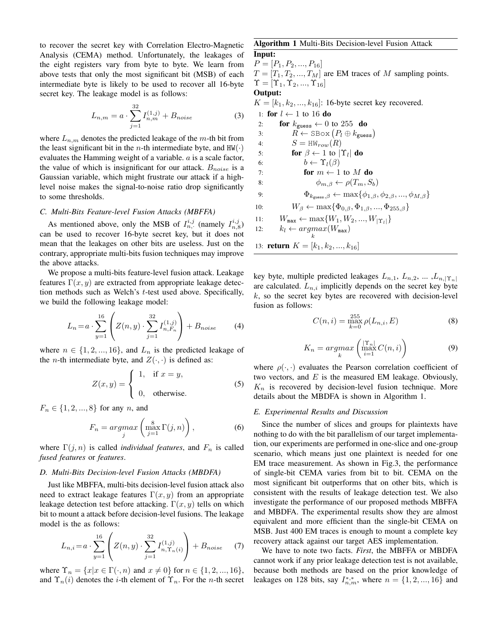to recover the secret key with Correlation Electro-Magnetic Analysis (CEMA) method. Unfortunately, the leakages of the eight registers vary from byte to byte. We learn from above tests that only the most significant bit (MSB) of each intermediate byte is likely to be used to recover all 16-byte secret key. The leakage model is as follows:

$$
L_{n,m} = a \cdot \sum_{j=1}^{32} I_{n,m}^{(1,j)} + B_{noise}
$$
 (3)

where  $L_{n,m}$  denotes the predicted leakage of the m-th bit from the least significant bit in the *n*-th intermediate byte, and  $HW(\cdot)$ evaluates the Hamming weight of a variable. a is a scale factor, the value of which is insignificant for our attack.  $B_{noise}$  is a Gaussian variable, which might frustrate our attack if a highlevel noise makes the signal-to-noise ratio drop significantly to some thresholds.

#### *C. Multi-Bits Feature-level Fusion Attacks (MBFFA)*

As mentioned above, only the MSB of  $I_{n,\cdot}^{i,j}$  (namely  $I_{n,8}^{i,j}$ ) can be used to recover 16-byte secret key, but it does not mean that the leakages on other bits are useless. Just on the contrary, appropriate multi-bits fusion techniques may improve the above attacks.

We propose a multi-bits feature-level fusion attack. Leakage features  $\Gamma(x, y)$  are extracted from appropriate leakage detection methods such as Welch's t-test used above. Specifically, we build the following leakage model:

$$
L_n = a \cdot \sum_{y=1}^{16} \left( Z(n, y) \cdot \sum_{j=1}^{32} I_{n, F_n}^{(1, j)} \right) + B_{noise}
$$
 (4)

where  $n \in \{1, 2, ..., 16\}$ , and  $L_n$  is the predicted leakage of the *n*-th intermediate byte, and  $Z(\cdot, \cdot)$  is defined as:

$$
Z(x,y) = \begin{cases} 1, & \text{if } x = y, \\ 0, & \text{otherwise.} \end{cases}
$$
 (5)

 $F_n \in \{1, 2, ..., 8\}$  for any *n*, and

$$
F_n = \underset{j}{\operatorname{argmax}} \left( \underset{j=1}{\operatorname{max}} \Gamma(j, n) \right), \tag{6}
$$

where  $\Gamma(j, n)$  is called *individual features*, and  $F_n$  is called *fused features* or *features*.

#### *D. Multi-Bits Decision-level Fusion Attacks (MBDFA)*

Just like MBFFA, multi-bits decision-level fusion attack also need to extract leakage features  $\Gamma(x, y)$  from an appropriate leakage detection test before attacking.  $\Gamma(x, y)$  tells on which bit to mount a attack before decision-level fusions. The leakage model is the as follows:

$$
L_{n,i} = a \cdot \sum_{y=1}^{16} \left( Z(n,y) \cdot \sum_{j=1}^{32} I_{n,\Upsilon_n(i)}^{(1,j)} \right) + B_{noise} \tag{7}
$$

where  $\Upsilon_n = \{x | x \in \Gamma(\cdot, n) \text{ and } x \neq 0\}$  for  $n \in \{1, 2, ..., 16\},$ and  $\Upsilon_n(i)$  denotes the *i*-th element of  $\Upsilon_n$ . For the *n*-th secret

# Algorithm 1 Multi-Bits Decision-level Fusion Attack

Input:  $P = [P_1, P_2, ..., P_{16}]$  $T = [T_1, T_2, ..., T_M]$  are EM traces of M sampling points.  $\Upsilon = [\Upsilon_1, \Upsilon_2, ..., \Upsilon_{16}]$ Output:  $K = [k_1, k_2, ..., k_{16}]$ : 16-byte secret key recovered. 1: for  $l \leftarrow 1$  to 16 do 2: **for**  $k_{\text{guess}} \leftarrow 0$  to 255 **do** 3:  $R \leftarrow \text{SBox}(P_l \oplus k_{\text{guess}})$ 4:  $S = HW_{row}(R)$ 5: **for**  $\beta \leftarrow 1$  to  $|\Upsilon_l|$  **do** 6:  $b \leftarrow \Upsilon_l(\beta)$ 7: for  $m \leftarrow 1$  to M do 8:  $\phi_{m, \beta} \leftarrow \rho(T_m, S_b)$ 9:  $\Phi_{k_{\text{guess},\beta}} \leftarrow \max\{\phi_{1,\beta}, \phi_{2,\beta}, ..., \phi_{M,\beta}\}$ 10:  $W_{\beta} \leftarrow \max\{\Phi_{0,\beta}, \Phi_{1,\beta}, ..., \Phi_{255,\beta}\}$ 11:  $W_{\text{max}} \leftarrow \max\{W_1, W_2, ..., W_{|\Upsilon_l|}\}$ 12:  $k_l \leftarrow argmax(W_{\text{max}})$ 

13: **return**  $K = [k_1, k_2, ..., k_{16}]$ 

key byte, multiple predicted leakages  $L_{n,1}$ ,  $L_{n,2}$ , ... , $L_{n,|\Upsilon_n|}$ are calculated.  $L_{n,i}$  implicitly depends on the secret key byte  $k$ , so the secret key bytes are recovered with decision-level fusion as follows:

$$
C(n,i) = \max_{k=0}^{255} \rho(L_{n,i}, E)
$$
 (8)

$$
K_n = \underset{k}{\operatorname{argmax}} \left( \max_{i=1}^{|\Upsilon_n|} C(n, i) \right) \tag{9}
$$

where  $\rho(\cdot, \cdot)$  evaluates the Pearson correlation coefficient of two vectors, and  $E$  is the measured EM leakage. Obviously,  $K_n$  is recovered by decision-level fusion technique. More details about the MBDFA is shown in Algorithm 1.

#### *E. Experimental Results and Discussion*

Since the number of slices and groups for plaintexts have nothing to do with the bit parallelism of our target implementation, our experiments are performed in one-slice and one-group scenario, which means just one plaintext is needed for one EM trace measurement. As shown in Fig.3, the performance of single-bit CEMA varies from bit to bit. CEMA on the most significant bit outperforms that on other bits, which is consistent with the results of leakage detection test. We also investigate the performance of our proposed methods MBFFA and MBDFA. The experimental results show they are almost equivalent and more efficient than the single-bit CEMA on MSB. Just 400 EM traces is enough to mount a complete key recovery attack against our target AES implementation.

We have to note two facts. *First*, the MBFFA or MBDFA cannot work if any prior leakage detection test is not available, because both methods are based on the prior knowledge of leakages on 128 bits, say  $I^{*,*}_{n,m}$ , where  $n = \{1, 2, ..., 16\}$  and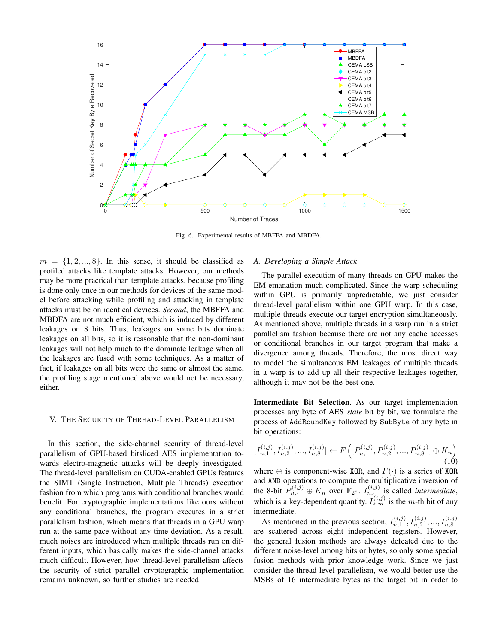

Fig. 6. Experimental results of MBFFA and MBDFA.

 $m = \{1, 2, ..., 8\}$ . In this sense, it should be classified as profiled attacks like template attacks. However, our methods may be more practical than template attacks, because profiling is done only once in our methods for devices of the same model before attacking while profiling and attacking in template attacks must be on identical devices. *Second*, the MBFFA and MBDFA are not much efficient, which is induced by different leakages on 8 bits. Thus, leakages on some bits dominate leakages on all bits, so it is reasonable that the non-dominant leakages will not help much to the dominate leakage when all the leakages are fused with some techniques. As a matter of fact, if leakages on all bits were the same or almost the same, the profiling stage mentioned above would not be necessary, either.

### V. THE SECURITY OF THREAD-LEVEL PARALLELISM

In this section, the side-channel security of thread-level parallelism of GPU-based bitsliced AES implementation towards electro-magnetic attacks will be deeply investigated. The thread-level parallelism on CUDA-enabled GPUs features the SIMT (Single Instruction, Multiple Threads) execution fashion from which programs with conditional branches would benefit. For cryptographic implementations like ours without any conditional branches, the program executes in a strict parallelism fashion, which means that threads in a GPU warp run at the same pace without any time deviation. As a result, much noises are introduced when multiple threads run on different inputs, which basically makes the side-channel attacks much difficult. However, how thread-level parallelism affects the security of strict parallel cryptographic implementation remains unknown, so further studies are needed.

#### *A. Developing a Simple Attack*

The parallel execution of many threads on GPU makes the EM emanation much complicated. Since the warp scheduling within GPU is primarily unpredictable, we just consider thread-level parallelism within one GPU warp. In this case, multiple threads execute our target encryption simultaneously. As mentioned above, multiple threads in a warp run in a strict parallelism fashion because there are not any cache accesses or conditional branches in our target program that make a divergence among threads. Therefore, the most direct way to model the simultaneous EM leakages of multiple threads in a warp is to add up all their respective leakages together, although it may not be the best one.

Intermediate Bit Selection. As our target implementation processes any byte of AES *state* bit by bit, we formulate the process of AddRoundKey followed by SubByte of any byte in bit operations:

$$
[I_{n,1}^{(i,j)}, I_{n,2}^{(i,j)}, ..., I_{n,8}^{(i,j)}] \leftarrow F\left( [P_{n,1}^{(i,j)}, P_{n,2}^{(i,j)}, ..., P_{n,8}^{(i,j)}] \oplus K_n \right)
$$
\n(10)

where  $\oplus$  is component-wise XOR, and  $F(\cdot)$  is a series of XOR and AND operations to compute the multiplicative inversion of the 8-bit  $P_{n,\cdot}^{(i,j)} \oplus K_n$  over  $\mathbb{F}_{2^8}$ .  $I_{n,\cdot}^{(i,j)}$  is called *intermediate*, which is a key-dependent quantity.  $I_{\star,m}^{(i,j)}$  is the m-th bit of any intermediate.

As mentioned in the previous section,  $I_{n,1}^{(i,j)}, I_{n,2}^{(i,j)},..., I_{n,8}^{(i,j)}$ are scattered across eight independent registers. However, the general fusion methods are always defeated due to the different noise-level among bits or bytes, so only some special fusion methods with prior knowledge work. Since we just consider the thread-level parallelism, we would better use the MSBs of 16 intermediate bytes as the target bit in order to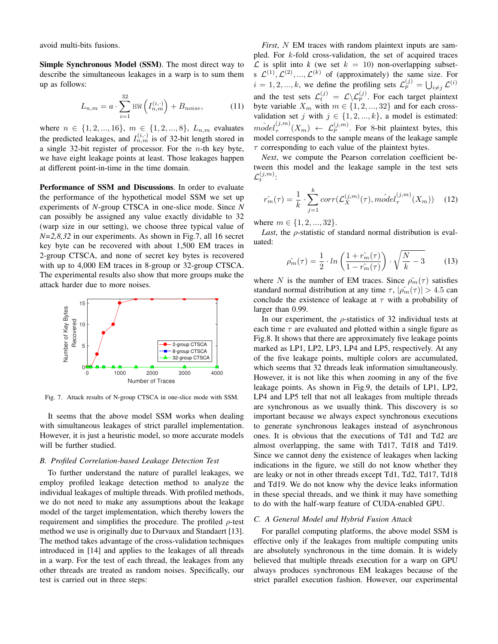avoid multi-bits fusions.

Simple Synchronous Model (SSM). The most direct way to describe the simultaneous leakages in a warp is to sum them up as follows:

$$
L_{n,m} = a \cdot \sum_{i=1}^{32} \text{HW}\left(I_{n,m}^{(i,\cdot)}\right) + B_{noise},\tag{11}
$$

where  $n \in \{1, 2, ..., 16\}$ ,  $m \in \{1, 2, ..., 8\}$ ,  $L_{n,m}$  evaluates the predicted leakages, and  $I_{n,m}^{(i,\cdot)}$  is of 32-bit length stored in a single 32-bit register of processor. For the  $n$ -th key byte, we have eight leakage points at least. Those leakages happen at different point-in-time in the time domain.

Performance of SSM and Discussions. In order to evaluate the performance of the hypothetical model SSM we set up experiments of *N*-group CTSCA in one-slice mode. Since *N* can possibly be assigned any value exactly dividable to 32 (warp size in our setting), we choose three typical value of *N=2,8,32* in our experiments. As shown in Fig.7, all 16 secret key byte can be recovered with about 1,500 EM traces in 2-group CTSCA, and none of secret key bytes is recovered with up to 4,000 EM traces in 8-group or 32-group CTSCA. The experimental results also show that more groups make the attack harder due to more noises.



Fig. 7. Attack results of N-group CTSCA in one-slice mode with SSM.

It seems that the above model SSM works when dealing with simultaneous leakages of strict parallel implementation. However, it is just a heuristic model, so more accurate models will be further studied.

#### *B. Profiled Correlation-based Leakage Detection Test*

To further understand the nature of parallel leakages, we employ profiled leakage detection method to analyze the individual leakages of multiple threads. With profiled methods, we do not need to make any assumptions about the leakage model of the target implementation, which thereby lowers the requirement and simplifies the procedure. The profiled  $\rho$ -test method we use is originally due to Durvaux and Standaert [13]. The method takes advantage of the cross-validation techniques introduced in [14] and applies to the leakages of all threads in a warp. For the test of each thread, the leakages from any other threads are treated as random noises. Specifically, our test is carried out in three steps:

*First*, N EM traces with random plaintext inputs are sampled. For k-fold cross-validation, the set of acquired traces  $\mathcal L$  is split into k (we set  $k = 10$ ) non-overlapping subsets  $\mathcal{L}^{(1)}$ ,  $\mathcal{L}^{(2)}$ , ...,  $\mathcal{L}^{(k)}$  of (approximately) the same size. For  $i = 1, 2, ..., k$ , we define the profiling sets  $\mathcal{L}_p^{(j)} = \bigcup_{i \neq j} \mathcal{L}^{(i)}$ and the test sets  $\mathcal{L}_t^{(j)} = \mathcal{L} \backslash \mathcal{L}_p^{(j)}$ . For each target plaintext byte variable  $X_m$  with  $m \in \{1, 2, ..., 32\}$  and for each crossvalidation set j with  $j \in \{1, 2, ..., k\}$ , a model is estimated:  $\hat{model}_{\tau}^{(j,m)}$  $\tau_{\tau}^{(j,m)}(X_m) \leftarrow \mathcal{L}_p^{(j,m)}$ . For 8-bit plaintext bytes, this model corresponds to the sample means of the leakage sample  $\tau$  corresponding to each value of the plaintext bytes.

*Next*, we compute the Pearson correlation coefficient between this model and the leakage sample in the test sets  $\mathcal{L}_t^{(j,m)}$  :

$$
\hat{r_m}(\tau) = \frac{1}{k} \cdot \sum_{j=1}^k corr(\mathcal{L}_X^{(j,m)}(\tau), \hat{model}_{\tau}^{(j,m)}(X_m)) \quad (12)
$$

where  $m \in \{1, 2, ..., 32\}$ .

*Last*, the ρ-statistic of standard normal distribution is evaluated:

$$
\hat{\rho_m}(\tau) = \frac{1}{2} \cdot \ln\left(\frac{1 + \hat{r_m}(\tau)}{1 - \hat{r_m}(\tau)}\right) \cdot \sqrt{\frac{N}{k} - 3} \tag{13}
$$

where N is the number of EM traces. Since  $\rho_m(\tau)$  satisfies standard normal distribution at any time  $\tau$ ,  $|\hat{\rho_m}(\tau)| > 4.5$  can conclude the existence of leakage at  $\tau$  with a probability of larger than 0.99.

In our experiment, the  $\rho$ -statistics of 32 individual tests at each time  $\tau$  are evaluated and plotted within a single figure as Fig.8. It shows that there are approximately five leakage points marked as LP1, LP2, LP3, LP4 and LP5, respectively. At any of the five leakage points, multiple colors are accumulated, which seems that 32 threads leak information simultaneously. However, it is not like this when zooming in any of the five leakage points. As shown in Fig.9, the details of LP1, LP2, LP4 and LP5 tell that not all leakages from multiple threads are synchronous as we usually think. This discovery is so important because we always expect synchronous executions to generate synchronous leakages instead of asynchronous ones. It is obvious that the executions of Td1 and Td2 are almost overlapping, the same with Td17, Td18 and Td19. Since we cannot deny the existence of leakages when lacking indications in the figure, we still do not know whether they are leaky or not in other threads except Td1, Td2, Td17, Td18 and Td19. We do not know why the device leaks information in these special threads, and we think it may have something to do with the half-warp feature of CUDA-enabled GPU.

# *C. A General Model and Hybrid Fusion Attack*

For parallel computing platforms, the above model SSM is effective only if the leakages from multiple computing units are absolutely synchronous in the time domain. It is widely believed that multiple threads execution for a warp on GPU always produces synchronous EM leakages because of the strict parallel execution fashion. However, our experimental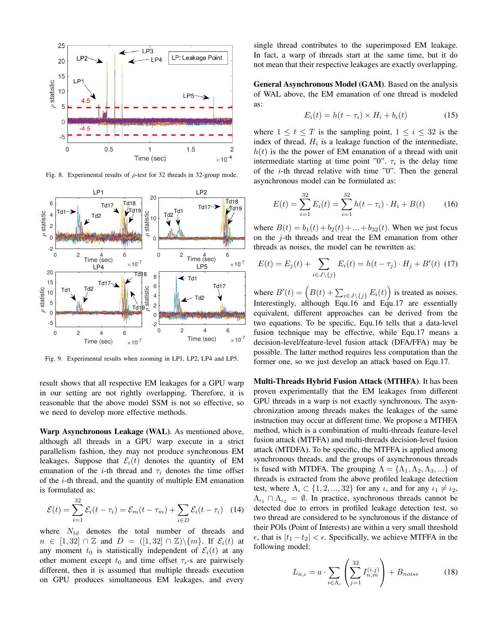

Fig. 8. Experimental results of  $\rho$ -test for 32 threads in 32-group mode.



Fig. 9. Experimental results when zooming in LP1, LP2, LP4 and LP5.

result shows that all respective EM leakages for a GPU warp in our setting are not rightly overlapping. Therefore, it is reasonable that the above model SSM is not so effective, so we need to develop more effective methods.

Warp Asynchronous Leakage (WAL). As mentioned above, although all threads in a GPU warp execute in a strict parallelism fashion, they may not produce synchronous EM leakages. Suppose that  $\mathcal{E}_i(t)$  denotes the quantity of EM emanation of the *i*-th thread and  $\tau_i$  denotes the time offset of the  $i$ -th thread, and the quantity of multiple EM emanation is formulated as:

$$
\mathcal{E}(t) = \sum_{i=1}^{32} \mathcal{E}_i(t - \tau_i) = \mathcal{E}_m(t - \tau_m) + \sum_{i \in D} \mathcal{E}_i(t - \tau_i)
$$
 (14)

where  $N_{td}$  denotes the total number of threads and  $n \in [1, 32] \cap \mathbb{Z}$  and  $D = ([1, 32] \cap \mathbb{Z})\backslash\{m\}$ . If  $\mathcal{E}_i(t)$  at any moment  $t_0$  is statistically independent of  $\mathcal{E}_i(t)$  at any other moment except  $t_0$  and time offset  $\tau_i$ -s are pairwisely different, then it is assumed that multiple threads execution on GPU produces simultaneous EM leakages, and every single thread contributes to the superimposed EM leakage. In fact, a warp of threads start at the same time, but it do not mean that their respective leakages are exactly overlapping.

General Asynchronous Model (GAM). Based on the analysis of WAL above, the EM emanation of one thread is modeled as:

$$
E_i(t) = h(t - \tau_i) \times H_i + b_i(t)
$$
\n(15)

where  $1 \le t \le T$  is the sampling point,  $1 \le i \le 32$  is the index of thread,  $H_i$  is a leakage function of the intermediate,  $h(t)$  is the the power of EM emanation of a thread with unit intermediate starting at time point "0".  $\tau_i$  is the delay time of the  $i$ -th thread relative with time "0". Then the general asynchronous model can be formulated as:

$$
E(t) = \sum_{i=1}^{32} E_i(t) = \sum_{i=1}^{32} h(t - \tau_i) \cdot H_i + B(t)
$$
 (16)

where  $B(t) = b_1(t) + b_2(t) + ... + b_{32}(t)$ . When we just focus on the  $j$ -th threads and treat the EM emanation from other threads as noises, the model can be rewritten as:

$$
E(t) = E_j(t) + \sum_{i \in J \setminus \{j\}} E_i(t) = h(t - \tau_j) \cdot H_j + B'(t) \tag{17}
$$

where  $B'(t) = (B(t) + \sum_{i \in J \setminus \{j\}} E_i(t))$  is treated as noises. Interestingly, although Equ.16 and Equ.17 are essentially equivalent, different approaches can be derived from the two equations. To be specific, Equ.16 tells that a data-level fusion technique may be effective, while Equ.17 means a decision-level/feature-level fusion attack (DFA/FFA) may be possible. The latter method requires less computation than the former one, so we just develop an attack based on Equ.17.

Multi-Threads Hybrid Fusion Attack (MTHFA). It has been proven experimentally that the EM leakages from different GPU threads in a warp is not exactly synchronous. The asynchronization among threads makes the leakages of the same instruction may occur at different time. We propose a MTHFA method, which is a combination of multi-threads feature-level fusion attack (MTFFA) and multi-threads decision-level fusion attack (MTDFA). To be specific, the MTFFA is applied among synchronous threads, and the groups of asynchronous threads is fused with MTDFA. The grouping  $\Lambda = {\Lambda_1, \Lambda_2, \Lambda_3, ...}$  of threads is extracted from the above profiled leakage detection test, where  $\Lambda_{\iota} \subset \{1, 2, ..., 32\}$  for any  $\iota$ , and for any  $\iota_1 \neq \iota_2$ ,  $\Lambda_{\iota_1} \cap \Lambda_{\iota_2} = \emptyset$ . In practice, synchronous threads cannot be detected due to errors in profiled leakage detection test, so two thread are considered to be synchronous if the distance of their POIs (Point of Interests) are within a very small threshold  $\epsilon$ , that is  $|t_1 - t_2| < \epsilon$ . Specifically, we achieve MTFFA in the following model:

$$
L_{n,\iota} = a \cdot \sum_{i \in \Lambda_{\iota}} \left( \sum_{j=1}^{32} I_{n,m}^{(i,j)} \right) + B_{noise}
$$
 (18)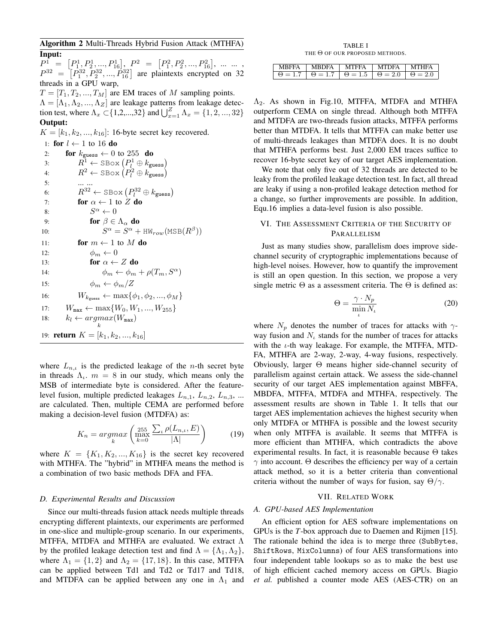Algorithm 2 Multi-Threads Hybrid Fusion Attack (MTHFA)

Input:  $P^1 = [P_1^1, P_2^1, ..., P_{16}^1], P^2 = [P_1^2, P_2^2, ..., P_{16}^2], ..., \dots,$  $P^{32} = [P_1^{32}, P_2^{32}, ..., P_{16}^{32}]$  are plaintexts encrypted on 32 threads in a GPU warp,  $T = [T_1, T_2, ..., T_M]$  are EM traces of M sampling points.  $\Lambda = [\Lambda_1, \Lambda_2, ..., \Lambda_Z]$  are leakage patterns from leakage detection test, where  $\Lambda_x \subset \{1, 2, ..., 32\}$  and  $\bigcup_{x=1}^{Z} \Lambda_x = \{1, 2, ..., 32\}$ Output:  $K = [k_1, k_2, ..., k_{16}]$ : 16-byte secret key recovered. 1: for  $l \leftarrow 1$  to 16 do 2: **for**  $k_{\text{guess}} \leftarrow 0$  to 255 **do** 3:  $R_1^1 \leftarrow \text{SBox} (P_l^1 \oplus k_{\text{guess}})$ 4:  $R^2 \leftarrow \text{SBox} (P_l^2 \oplus k_{\text{guess}})$ 5: ... ... 6:  $R^{32} \leftarrow \text{SBox} (P_l^{32} \oplus k_{\text{guess}})$ 7: **for**  $\alpha \leftarrow 1$  to  $\overline{Z}$  do 8: S  $S^{\alpha} \leftarrow 0$ 9: **for**  $\beta \in \Lambda_{\alpha}$  **do** 

 $10:$  $\alpha = S^{\alpha} + \text{HW}_{row}(\text{MSB}(R^{\beta}))$ 11: **for**  $m \leftarrow 1$  to M **do** 12:  $\phi_m \leftarrow 0$ 13: for  $\alpha \leftarrow Z$  do 14:  $\phi_m \leftarrow \phi_m + \rho(T_m, S^{\alpha})$ 15:  $\phi_m \leftarrow \phi_m/Z$ 16:  $W_{k_{\text{guess}}} \leftarrow \max\{\phi_1, \phi_2, ..., \phi_M\}$ 17:  $W_{\text{max}} \leftarrow \max\{W_0, W_1, ..., W_{255}\}$ 18:  $k_l \leftarrow argmax(W_{\text{max}})$ k 19: **return**  $K = [k_1, k_2, ..., k_{16}]$ 

where  $L_{n,\iota}$  is the predicted leakage of the *n*-th secret byte in threads  $\Lambda_{\iota}$ .  $m = 8$  in our study, which means only the MSB of intermediate byte is considered. After the featurelevel fusion, multiple predicted leakages  $L_{n,1}$ ,  $L_{n,2}$ ,  $L_{n,3}$ , ... are calculated. Then, multiple CEMA are performed before making a decision-level fusion (MTDFA) as:

$$
K_n = \underset{k}{\operatorname{argmax}} \left( \underset{k=0}{\operatorname{max}} \frac{\sum_{\iota} \rho(L_{n,\iota}, E)}{|\Lambda|} \right) \tag{19}
$$

where  $K = \{K_1, K_2, ..., K_{16}\}\$ is the secret key recovered with MTHFA. The "hybrid" in MTHFA means the method is a combination of two basic methods DFA and FFA.

#### *D. Experimental Results and Discussion*

Since our multi-threads fusion attack needs multiple threads encrypting different plaintexts, our experiments are performed in one-slice and multiple-group scenario. In our experiments, MTFFA, MTDFA and MTHFA are evaluated. We extract Λ by the profiled leakage detection test and find  $\Lambda = {\Lambda_1, \Lambda_2}$ , where  $\Lambda_1 = \{1, 2\}$  and  $\Lambda_2 = \{17, 18\}$ . In this case, MTFFA can be applied between Td1 and Td2 or Td17 and Td18, and MTDFA can be applied between any one in  $\Lambda_1$  and

TABLE I THE Θ OF OUR PROPOSED METHODS.

| MBFFA   MBDFA   MTFFA   MTDFA   MTHFA                                      |  |  |
|----------------------------------------------------------------------------|--|--|
| $\theta = 1.7$ $\theta = 1.7$ $\theta = 1.5$ $\theta = 2.0$ $\theta = 2.0$ |  |  |

 $\Lambda_2$ . As shown in Fig.10, MTFFA, MTDFA and MTHFA outperform CEMA on single thread. Although both MTFFA and MTDFA are two-threads fusion attacks, MTFFA performs better than MTDFA. It tells that MTFFA can make better use of multi-threads leakages than MTDFA does. It is no doubt that MTHFA performs best. Just 2,000 EM traces suffice to recover 16-byte secret key of our target AES implementation.

We note that only five out of 32 threads are detected to be leaky from the profiled leakage detection test. In fact, all thread are leaky if using a non-profiled leakage detection method for a change, so further improvements are possible. In addition, Equ.16 implies a data-level fusion is also possible.

# VI. THE ASSESSMENT CRITERIA OF THE SECURITY OF PARALLELISM

Just as many studies show, parallelism does improve sidechannel security of cryptographic implementations because of high-level noises. However, how to quantify the improvement is still an open question. In this section, we propose a very single metric  $\Theta$  as a assessment criteria. The  $\Theta$  is defined as:

$$
\Theta = \frac{\gamma \cdot N_p}{\min_{t} N_t} \tag{20}
$$

where  $N_p$  denotes the number of traces for attacks with  $\gamma$ way fusion and  $N_t$  stands for the number of traces for attacks with the  $\iota$ -th way leakage. For example, the MTFFA, MTD-FA, MTHFA are 2-way, 2-way, 4-way fusions, respectively. Obviously, larger Θ means higher side-channel security of parallelism against certain attack. We assess the side-channel security of our target AES implementation against MBFFA, MBDFA, MTFFA, MTDFA and MTHFA, respectively. The assessment results are shown in Table 1. It tells that our target AES implementation achieves the highest security when only MTDFA or MTHFA is possible and the lowest security when only MTFFA is available. It seems that MTFFA is more efficient than MTHFA, which contradicts the above experimental results. In fact, it is reasonable because Θ takes  $\gamma$  into account.  $\Theta$  describes the efficiency per way of a certain attack method, so it is a better criteria than conventional criteria without the number of ways for fusion, say  $\Theta/\gamma$ .

# VII. RELATED WORK

# *A. GPU-based AES Implementation*

An efficient option for AES software implementations on GPUs is the *T*-box approach due to Daemen and Rijmen [15]. The rationale behind the idea is to merge three (SubBytes, ShiftRows, MixColumns) of four AES transformations into four independent table lookups so as to make the best use of high efficient cached memory access on GPUs. Biagio *et al.* published a counter mode AES (AES-CTR) on an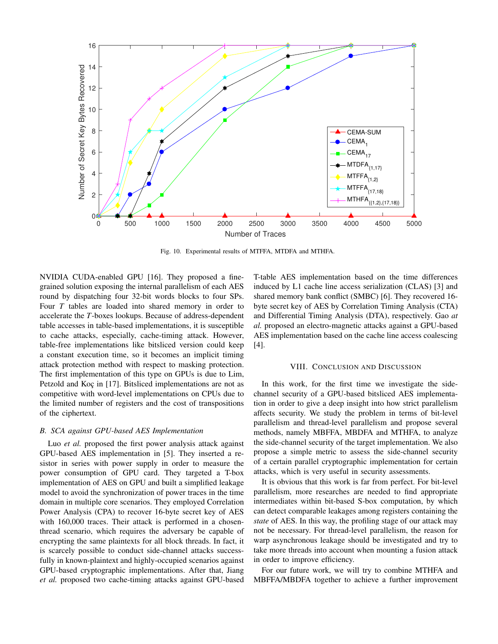

Fig. 10. Experimental results of MTFFA, MTDFA and MTHFA.

NVIDIA CUDA-enabled GPU [16]. They proposed a finegrained solution exposing the internal parallelism of each AES round by dispatching four 32-bit words blocks to four SPs. Four *T* tables are loaded into shared memory in order to accelerate the *T*-boxes lookups. Because of address-dependent table accesses in table-based implementations, it is susceptible to cache attacks, especially, cache-timing attack. However, table-free implementations like bitsliced version could keep a constant execution time, so it becomes an implicit timing attack protection method with respect to masking protection. The first implementation of this type on GPUs is due to Lim, Petzold and Koç in [17]. Bitsliced implementations are not as competitive with word-level implementations on CPUs due to the limited number of registers and the cost of transpositions of the ciphertext.

# *B. SCA against GPU-based AES Implementation*

Luo *et al.* proposed the first power analysis attack against GPU-based AES implementation in [5]. They inserted a resistor in series with power supply in order to measure the power consumption of GPU card. They targeted a T-box implementation of AES on GPU and built a simplified leakage model to avoid the synchronization of power traces in the time domain in multiple core scenarios. They employed Correlation Power Analysis (CPA) to recover 16-byte secret key of AES with 160,000 traces. Their attack is performed in a chosenthread scenario, which requires the adversary be capable of encrypting the same plaintexts for all block threads. In fact, it is scarcely possible to conduct side-channel attacks successfully in known-plaintext and highly-occupied scenarios against GPU-based cryptographic implementations. After that, Jiang *et al.* proposed two cache-timing attacks against GPU-based T-table AES implementation based on the time differences induced by L1 cache line access serialization (CLAS) [3] and shared memory bank conflict (SMBC) [6]. They recovered 16 byte secret key of AES by Correlation Timing Analysis (CTA) and Differential Timing Analysis (DTA), respectively. Gao *at al.* proposed an electro-magnetic attacks against a GPU-based AES implementation based on the cache line access coalescing [4].

#### VIII. CONCLUSION AND DISCUSSION

In this work, for the first time we investigate the sidechannel security of a GPU-based bitsliced AES implementation in order to give a deep insight into how strict parallelism affects security. We study the problem in terms of bit-level parallelism and thread-level parallelism and propose several methods, namely MBFFA, MBDFA and MTHFA, to analyze the side-channel security of the target implementation. We also propose a simple metric to assess the side-channel security of a certain parallel cryptographic implementation for certain attacks, which is very useful in security assessments.

It is obvious that this work is far from perfect. For bit-level parallelism, more researches are needed to find appropriate intermediates within bit-based S-box computation, by which can detect comparable leakages among registers containing the *state* of AES. In this way, the profiling stage of our attack may not be necessary. For thread-level parallelism, the reason for warp asynchronous leakage should be investigated and try to take more threads into account when mounting a fusion attack in order to improve efficiency.

For our future work, we will try to combine MTHFA and MBFFA/MBDFA together to achieve a further improvement